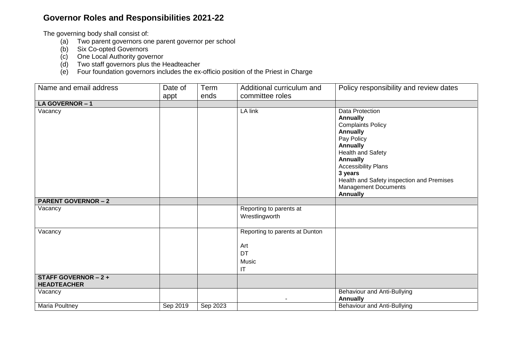## **Governor Roles and Responsibilities 2021-22**

The governing body shall consist of:

- (a) Two parent governors one parent governor per school
- (b) Six Co-opted Governors
- (c) One Local Authority governor
- (d) Two staff governors plus the Headteacher
- (e) Four foundation governors includes the ex-officio position of the Priest in Charge

| Name and email address                            | Date of  | Term     | Additional curriculum and                                         | Policy responsibility and review dates                                                                                                                                                                                                                                                                    |
|---------------------------------------------------|----------|----------|-------------------------------------------------------------------|-----------------------------------------------------------------------------------------------------------------------------------------------------------------------------------------------------------------------------------------------------------------------------------------------------------|
|                                                   | appt     | ends     | committee roles                                                   |                                                                                                                                                                                                                                                                                                           |
| LA GOVERNOR-1                                     |          |          |                                                                   |                                                                                                                                                                                                                                                                                                           |
| Vacancy                                           |          |          | LA link                                                           | Data Protection<br><b>Annually</b><br><b>Complaints Policy</b><br><b>Annually</b><br>Pay Policy<br><b>Annually</b><br><b>Health and Safety</b><br><b>Annually</b><br><b>Accessibility Plans</b><br>3 years<br>Health and Safety inspection and Premises<br><b>Management Documents</b><br><b>Annually</b> |
| <b>PARENT GOVERNOR - 2</b>                        |          |          |                                                                   |                                                                                                                                                                                                                                                                                                           |
| Vacancy                                           |          |          | Reporting to parents at<br>Wrestlingworth                         |                                                                                                                                                                                                                                                                                                           |
| Vacancy                                           |          |          | Reporting to parents at Dunton<br>Art<br><b>DT</b><br>Music<br>IT |                                                                                                                                                                                                                                                                                                           |
| <b>STAFF GOVERNOR - 2 +</b><br><b>HEADTEACHER</b> |          |          |                                                                   |                                                                                                                                                                                                                                                                                                           |
| Vacancy                                           |          |          |                                                                   | Behaviour and Anti-Bullying<br><b>Annually</b>                                                                                                                                                                                                                                                            |
| Maria Poultney                                    | Sep 2019 | Sep 2023 |                                                                   | Behaviour and Anti-Bullying                                                                                                                                                                                                                                                                               |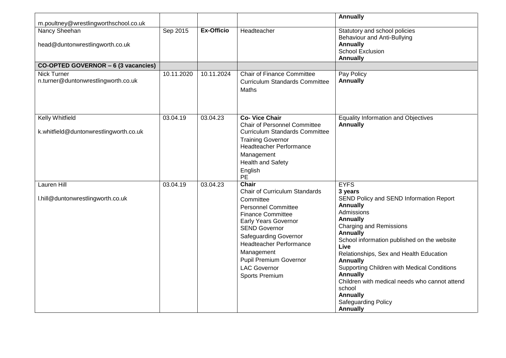|                                                                                           |            |            |                                                                                                                                                                                                                                                                                                                                | <b>Annually</b>                                                                                                                                                                                                                                                                                                                                                                                                                                                                           |
|-------------------------------------------------------------------------------------------|------------|------------|--------------------------------------------------------------------------------------------------------------------------------------------------------------------------------------------------------------------------------------------------------------------------------------------------------------------------------|-------------------------------------------------------------------------------------------------------------------------------------------------------------------------------------------------------------------------------------------------------------------------------------------------------------------------------------------------------------------------------------------------------------------------------------------------------------------------------------------|
| m.poultney@wrestlingworthschool.co.uk<br>Nancy Sheehan<br>head@duntonwrestlingworth.co.uk | Sep 2015   | Ex-Officio | Headteacher                                                                                                                                                                                                                                                                                                                    | Statutory and school policies<br><b>Behaviour and Anti-Bullying</b><br><b>Annually</b><br><b>School Exclusion</b><br><b>Annually</b>                                                                                                                                                                                                                                                                                                                                                      |
| CO-OPTED GOVERNOR - 6 (3 vacancies)                                                       |            |            |                                                                                                                                                                                                                                                                                                                                |                                                                                                                                                                                                                                                                                                                                                                                                                                                                                           |
| <b>Nick Turner</b><br>n.turner@duntonwrestlingworth.co.uk                                 | 10.11.2020 | 10.11.2024 | <b>Chair of Finance Committee</b><br><b>Curriculum Standards Committee</b><br>Maths                                                                                                                                                                                                                                            | Pay Policy<br><b>Annually</b>                                                                                                                                                                                                                                                                                                                                                                                                                                                             |
| Kelly Whitfield<br>k.whitfield@duntonwrestlingworth.co.uk                                 | 03.04.19   | 03.04.23   | <b>Co- Vice Chair</b><br>Chair of Personnel Committee<br><b>Curriculum Standards Committee</b><br><b>Training Governor</b><br><b>Headteacher Performance</b><br>Management<br><b>Health and Safety</b><br>English<br><b>PE</b>                                                                                                 | <b>Equality Information and Objectives</b><br><b>Annually</b>                                                                                                                                                                                                                                                                                                                                                                                                                             |
| <b>Lauren Hill</b><br>I.hill@duntonwrestlingworth.co.uk                                   | 03.04.19   | 03.04.23   | <b>Chair</b><br>Chair of Curriculum Standards<br>Committee<br><b>Personnel Committee</b><br><b>Finance Committee</b><br><b>Early Years Governor</b><br><b>SEND Governor</b><br><b>Safeguarding Governor</b><br><b>Headteacher Performance</b><br>Management<br>Pupil Premium Governor<br><b>LAC Governor</b><br>Sports Premium | <b>EYFS</b><br>3 years<br>SEND Policy and SEND Information Report<br><b>Annually</b><br>Admissions<br><b>Annually</b><br><b>Charging and Remissions</b><br><b>Annually</b><br>School information published on the website<br>Live<br>Relationships, Sex and Health Education<br><b>Annually</b><br>Supporting Children with Medical Conditions<br><b>Annually</b><br>Children with medical needs who cannot attend<br>school<br><b>Annually</b><br>Safeguarding Policy<br><b>Annually</b> |